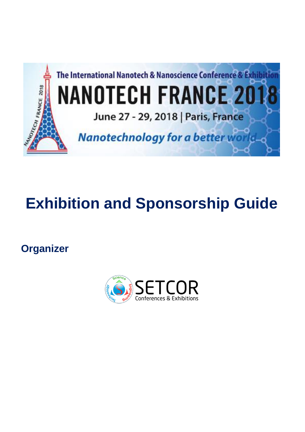

# **Exhibition and Sponsorship Guide**

**Organizer**

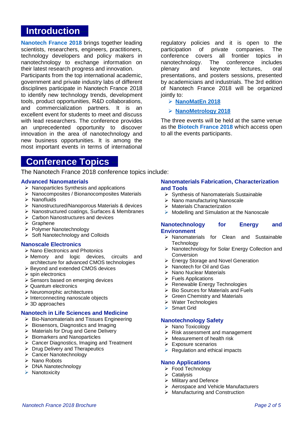# **Introduction**

**[Nanotech France 2018](http://www.setcor.org/conferences/Nanotech-France-2018)** brings together leading scientists, researchers, engineers, practitioners, technology developers and policy makers in nanotechnology to exchange information on their latest research progress and innovation.

Participants from the top international academic, government and private industry labs of different disciplines participate in Nanotech France 2018 to identify new technology trends, development tools, product opportunities, R&D collaborations, and commercialization partners. It is an excellent event for students to meet and discuss with lead researchers. The conference provides an unprecedented opportunity to discover innovation in the area of nanotechnology and new business opportunities. It is among the most important events in terms of international

# **Conference Topics**

The Nanotech France 2018 conference topics include:

#### **Advanced Nanomaterials**

- ➢ Nanoparticles Synthesis and applications
- ➢ Nanocomposites / Bionanocomposites Materials
- ➢ Nanofluids
- ➢ Nanostructured/Nanoporous Materials & devices
- ➢ Nanostructured coatings, Surfaces & Membranes
- ➢ Carbon Nanostructures and devices
- ➢ Graphene
- ➢ Polymer Nanotechnology
- ➢ Soft Nanotechnology and Colloids

#### **Nanoscale Electronics**

- ➢ Nano Electronics and Photonics
- ➢ Memory and logic devices, circuits and architecture for advanced CMOS technologies
- ➢ Beyond and extended CMOS devices
- ➢ spin electronics
- ➢ Sensors based on emerging devices
- ➢ Quantum electronics
- ➢ Neuromorphic architectures
- ➢ Interconnecting nanoscale objects
- ➢ 3D approaches

#### **Nanotech in Life Sciences and Medicine**

- ➢ Bio-Nanomaterials and Tissues Engineering
- ➢ Biosensors, Diagnostics and Imaging
- ➢ Materials for Drug and Gene Delivery
- ➢ Biomarkers and Nanoparticles
- ➢ Cancer Diagnostics, Imaging and Treatment
- ➢ Drug Delivery and Therapeutics
- ➢ Cancer Nanotechnology
- ➢ Nano Robots
- ➢ DNA Nanotechnology
- ➢ Nanotoxicity

regulatory policies and it is open to the participation of private companies. The conference covers all frontier topics in nanotechnology. The conference includes plenary and keynote lectures, oral presentations, and posters sessions, presented by academicians and industrials. The 3rd edition of Nanotech France 2018 will be organized jointly to:

## ➢ **[NanoMatEn](http://www.setcor.org/conferences/NanoMatEn-2018) 2018**

#### ➢ **[NanoMetrology](http://www.setcor.org/conferences/NanoMetrology-2018) 2018**

The three events will be held at the same venue as the **[Biotech France 2018](http://www.setcor.org/conferences/Biotech-France-2018)** which access open to all the events participants.

## **Nanomaterials Fabrication, Characterization and Tools**

- ➢ Synthesis of Nanomaterials Sustainable
- ➢ Nano manufacturing Nanoscale
- ➢ Materials Characterization
- ➢ Modelling and Simulation at the Nanoscale

#### **Nanotechnology for Energy and Environment**

- ➢ Nanomaterials for Clean and Sustainable **Technology**
- ➢ Nanotechnology for Solar Energy Collection and Conversion
- ➢ Energy Storage and Novel Generation
- ➢ Nanotech for Oil and Gas
- ➢ Nano Nuclear Materials
- ➢ Fuels Applications
- ➢ Renewable Energy Technologies
- $\triangleright$  Bio Sources for Materials and Fuels
- ➢ Green Chemistry and Materials
- ➢ Water Technologies
- ➢ Smart Grid

#### **Nanotechnology Safety**

- ➢ Nano Toxicology
- ➢ Risk assessment and management
- ➢ Measurement of health risk
- ➢ Exposure scenarios
- $\triangleright$  Regulation and ethical impacts

#### **Nano Applications**

- ➢ Food Technology
- ➢ Catalysis
- ➢ Military and Defence
- ➢ Aerospace and Vehicle Manufacturers
- ➢ Manufacturing and Construction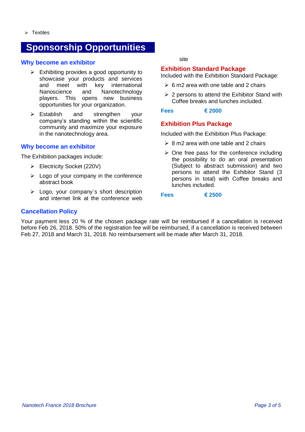# **Sponsorship Opportunities**

## **Why become an exhibitor**

- $\triangleright$  Exhibiting provides a good opportunity to showcase your products and services and meet with key international Nanoscience and Nanotechnology players. This opens new business opportunities for your organization.
- ➢ Establish and strengthen your company's standing within the scientific community and maximize your exposure in the nanotechnology area.

# **Why become an exhibitor**

The Exhibition packages include:

- ➢ Electricity Socket (220V)
- $\triangleright$  Logo of your company in the conference abstract book
- $\triangleright$  Logo, your company's short description and internet link at the conference web

#### site

# **Exhibition Standard Package**

Included with the Exhibition Standard Package:

- $\geq 6$  m2 area with one table and 2 chairs
- $\geq 2$  persons to attend the Exhibitor Stand with Coffee breaks and lunches included.

## **Fees € 2000**

# **Exhibition Plus Package**

Included with the Exhibition Plus Package:

- $\geq 8$  m2 area with one table and 2 chairs
- $\geq$  One free pass for the conference including the possibility to do an oral presentation (Subject to abstract submission) and two persons to attend the Exhibitor Stand (3 persons in total) with Coffee breaks and lunches included.

#### **Fees € 2500**

# **Cancellation Policy**

Your payment less 20 % of the chosen package rate will be reimbursed if a cancellation is received before Feb 26, 2018. 50% of the registration fee will be reimbursed, if a cancellation is received between Feb 27, 2018 and March 31, 2018. No reimbursement will be made after March 31, 2018.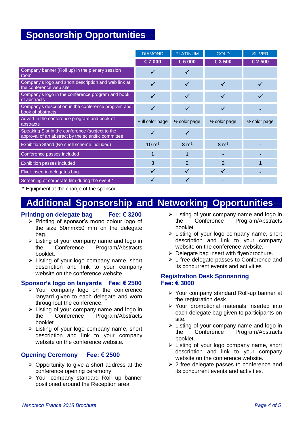# **Sponsorship Opportunities**

|                                                                                                        | <b>DIAMOND</b>   | <b>PLATINUM</b>          | <b>GOLD</b>              | <b>SILVER</b>            |
|--------------------------------------------------------------------------------------------------------|------------------|--------------------------|--------------------------|--------------------------|
|                                                                                                        | € 7 000          | € 5 000                  | € 3 500                  | € 2 500                  |
| Company banner (Roll up) in the plenary session<br>room                                                | ✓                | √                        |                          |                          |
| Company's logo and short description and web link at<br>the conference web site                        | $\checkmark$     | $\checkmark$             | $\checkmark$             |                          |
| Company's logo in the conference program and book<br>of abstracts                                      | $\checkmark$     | ✓                        |                          |                          |
| Company's description in the conference program and<br>book of abstracts                               | $\checkmark$     | $\checkmark$             | $\checkmark$             |                          |
| Advert in the conference program and book of<br>abstracts                                              | Full color page  | $\frac{1}{2}$ color page | $\frac{1}{2}$ color page | $\frac{1}{2}$ color page |
| Speaking Slot in the conference (subject to the<br>approval of an abstract by the scientific committee | ✓                | √                        |                          |                          |
| Exhibition Stand (No shell scheme included)                                                            |                  |                          |                          |                          |
|                                                                                                        | $10 \text{ m}^2$ | $8 \text{ m}^2$          | $8 \text{ m}^2$          |                          |
| Conference passes included                                                                             | 1                | 1                        |                          |                          |
| <b>Exhibition passes included</b>                                                                      | 3                | $\overline{2}$           | $\overline{2}$           |                          |
| Flyer insert in delegates bag                                                                          | $\checkmark$     | √                        |                          |                          |

**\*** Equipment at the charge of the sponsor

# **Additional Sponsorship and Networking Opportunities**

# **Printing on delegate bag Fee: € 3200**

- ➢ Printing of sponsor's mono colour logo of the size 50mmx50 mm on the delegate bag.
- ➢ Listing of your company name and logo in the Conference Program/Abstracts booklet.
- ➢ Listing of your logo company name, short description and link to your company website on the conference website.

# **Sponsor's logo on lanyards Fee: € 2500**

- ➢ Your company logo on the conference lanyard given to each delegate and worn throughout the conference.
- $\triangleright$  Listing of your company name and logo in the Conference Program/Abstracts booklet.
- ➢ Listing of your logo company name, short description and link to your company website on the conference website.

# **Opening Ceremony Fee: € 2500**

- ➢ Opportunity to give a short address at the conference opening ceremony.
- ➢ Your company standard Roll up banner positioned around the Reception area.
- $\triangleright$  Listing of your company name and logo in the Conference Program/Abstracts booklet.
- ➢ Listing of your logo company name, short description and link to your company website on the conference website.
- $\triangleright$  Delegate bag insert with flyer/brochure.
- ➢ 1 free delegate passes to Conference and its concurrent events and activities

# **Registration Desk Sponsoring Fee: € 3000**

- ➢ Your company standard Roll-up banner at the registration desk.
- ➢ Your promotional materials inserted into each delegate bag given to participants on site.
- ➢ Listing of your company name and logo in the Conference Program/Abstracts booklet.
- ➢ Listing of your logo company name, short description and link to your company website on the conference website.
- $\geq$  2 free delegate passes to conference and its concurrent events and activities.